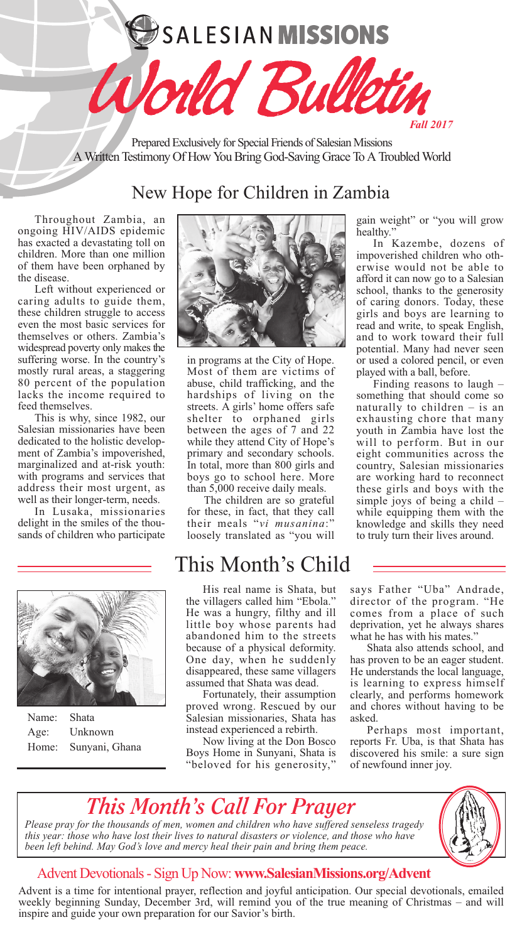# SALESIAN MISSIONS



Prepared Exclusively for Special Friends of Salesian Missions A Written Testimony Of How You Bring God-Saving Grace To A Troubled World

## New Hope for Children in Zambia

Throughout Zambia, an ongoing HIV/AIDS epidemic has exacted a devastating toll on children. More than one million of them have been orphaned by the disease.

Left without experienced or caring adults to guide them, these children struggle to access even the most basic services for themselves or others. Zambia's widespread poverty only makes the suffering worse. In the country's mostly rural areas, a staggering 80 percent of the population lacks the income required to feed themselves.

This is why, since 1982, our Salesian missionaries have been dedicated to the holistic development of Zambia's impoverished, marginalized and at-risk youth: with programs and services that address their most urgent, as well as their longer-term, needs.

In Lusaka, missionaries delight in the smiles of the thousands of children who participate



Name: Shata Age: Unknown Home: Sunyani, Ghana



in programs at the City of Hope. Most of them are victims of abuse, child trafficking, and the hardships of living on the streets. A girls' home offers safe shelter to orphaned girls between the ages of 7 and 22 while they attend City of Hope's primary and secondary schools. In total, more than 800 girls and boys go to school here. More than 5,000 receive daily meals.

The children are so grateful for these, in fact, that they call their meals "*vi musanina*:" loosely translated as "you will

## This Month's Child

His real name is Shata, but the villagers called him "Ebola." He was a hungry, filthy and ill little boy whose parents had abandoned him to the streets because of a physical deformity. One day, when he suddenly disappeared, these same villagers assumed that Shata was dead.

Fortunately, their assumption proved wrong. Rescued by our Salesian missionaries, Shata has instead experienced a rebirth.

Now living at the Don Bosco Boys Home in Sunyani, Shata is "beloved for his generosity,"

gain weight" or "you will grow healthy.

In Kazembe, dozens of impoverished children who otherwise would not be able to afford it can now go to a Salesian school, thanks to the generosity of caring donors. Today, these girls and boys are learning to read and write, to speak English, and to work toward their full potential. Many had never seen or used a colored pencil, or even played with a ball, before.

Finding reasons to laugh – something that should come so naturally to children – is an exhausting chore that many youth in Zambia have lost the will to perform. But in our eight communities across the country, Salesian missionaries are working hard to reconnect these girls and boys with the simple joys of being a child – while equipping them with the knowledge and skills they need to truly turn their lives around.

says Father "Uba" Andrade, director of the program. "He comes from a place of such deprivation, yet he always shares what he has with his mates."

Shata also attends school, and has proven to be an eager student. He understands the local language, is learning to express himself clearly, and performs homework and chores without having to be asked.

Perhaps most important, reports Fr. Uba, is that Shata has discovered his smile: a sure sign of newfound inner joy.

## *This Month's Call For Prayer*

*Please pray for the thousands of men, women and children who have suffered senseless tragedy this year: those who have lost their lives to natural disasters or violence, and those who have been left behind. May God's love and mercy heal their pain and bring them peace.*



#### Advent Devotionals- Sign Up Now: **www.SalesianMissions.org/Advent**

Advent is a time for intentional prayer, reflection and joyful anticipation. Our special devotionals, emailed weekly beginning Sunday, December 3rd, will remind you of the true meaning of Christmas – and will inspire and guide your own preparation for our Savior's birth.